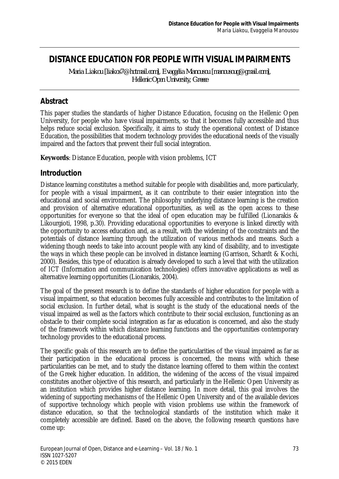# **DISTANCE EDUCATION FOR PEOPLE WITH VISUAL IMPAIRMENTS**

*Maria Liakou [liakos7@hotmail.com], Evaggelia Manousou [manousoug@gmail.com], Hellenic Open University, Greece*

### **Abstract**

This paper studies the standards of higher Distance Education, focusing on the Hellenic Open University, for people who have visual impairments, so that it becomes fully accessible and thus helps reduce social exclusion. Specifically, it aims to study the operational context of Distance Education, the possibilities that modern technology provides the educational needs of the visually impaired and the factors that prevent their full social integration.

**Keywords**: Distance Education, people with vision problems, ICT

### **Introduction**

Distance learning constitutes a method suitable for people with disabilities and, more particularly, for people with a visual impairment, as it can contribute to their easier integration into the educational and social environment. The philosophy underlying distance learning is the creation and provision of alternative educational opportunities, as well as the open access to these opportunities for everyone so that the ideal of open education may be fulfilled (Lionarakis & Likourgioti, 1998, p.30). Providing educational opportunities to everyone is linked directly with the opportunity to access education and, as a result, with the widening of the constraints and the potentials of distance learning through the utilization of various methods and means. Such a widening though needs to take into account people with any kind of disability, and to investigate the ways in which these people can be involved in distance learning (Garrison, Schardt & Kochi, 2000). Besides, this type of education is already developed to such a level that with the utilization of ICT (Information and communication technologies) offers innovative applications as well as alternative learning opportunities (Lionarakis, 2004).

The goal of the present research is to define the standards of higher education for people with a visual impairment, so that education becomes fully accessible and contributes to the limitation of social exclusion. In further detail, what is sought is the study of the educational needs of the visual impaired as well as the factors which contribute to their social exclusion, functioning as an obstacle to their complete social integration as far as education is concerned, and also the study of the framework within which distance learning functions and the opportunities contemporary technology provides to the educational process.

The specific goals of this research are to define the particularities of the visual impaired as far as their participation in the educational process is concerned, the means with which these particularities can be met, and to study the distance learning offered to them within the context of the Greek higher education. In addition, the widening of the access of the visual impaired constitutes another objective of this research, and particularly in the Hellenic Open University as an institution which provides higher distance learning. In more detail, this goal involves the widening of supporting mechanisms of the Hellenic Open University and of the available devices of supportive technology which people with vision problems use within the framework of distance education, so that the technological standards of the institution which make it completely accessible are defined. Based on the above, the following research questions have come up: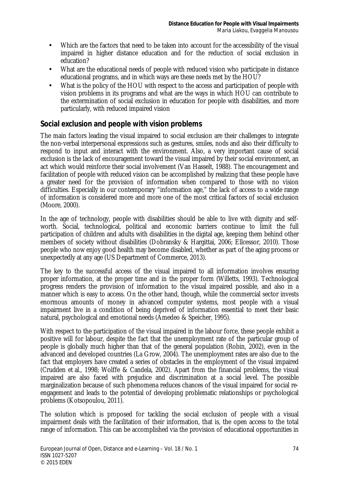- Which are the factors that need to be taken into account for the accessibility of the visual impaired in higher distance education and for the reduction of social exclusion in education?
- What are the educational needs of people with reduced vision who participate in distance educational programs, and in which ways are these needs met by the HOU?
- What is the policy of the HOU with respect to the access and participation of people with vision problems in its programs and what are the ways in which HOU can contribute to the extermination of social exclusion in education for people with disabilities, and more particularly, with reduced impaired vision

### **Social exclusion and people with vision problems**

The main factors leading the visual impaired to social exclusion are their challenges to integrate the non-verbal interpersonal expressions such as gestures, smiles, nods and also their difficulty to respond to input and interact with the environment. Also, a very important cause of social exclusion is the lack of encouragement toward the visual impaired by their social environment, an act which would reinforce their social involvement (Van Hasselt, 1988). The encouragement and facilitation of people with reduced vision can be accomplished by realizing that these people have a greater need for the provision of information when compared to those with no vision difficulties. Especially in our contemporary "information age," the lack of access to a wide range of information is considered more and more one of the most critical factors of social exclusion (Moore, 2000).

In the age of technology, people with disabilities should be able to live with dignity and selfworth. Social, technological, political and economic barriers continue to limit the full participation of children and adults with disabilities in the digital age, keeping them behind other members of society without disabilities (Dobransky & Hargittai, 2006; Ellcessor, 2010). Those people who now enjoy good health may become disabled, whether as part of the aging process or unexpectedly at any age (US Department of Commerce, 2013).

The key to the successful access of the visual impaired to all information involves ensuring proper information, at the proper time and in the proper form (Willetts, 1993). Technological progress renders the provision of information to the visual impaired possible, and also in a manner which is easy to access. On the other hand, though, while the commercial sector invests enormous amounts of money in advanced computer systems, most people with a visual impairment live in a condition of being deprived of information essential to meet their basic natural, psychological and emotional needs (Amedeo & Speicher, 1995).

With respect to the participation of the visual impaired in the labour force, these people exhibit a positive will for labour, despite the fact that the unemployment rate of the particular group of people is globally much higher than that of the general population (Robin, 2002), even in the advanced and developed countries (La Grow, 2004). The unemployment rates are also due to the fact that employers have created a series of obstacles in the employment of the visual impaired (Crudden et al., 1998; Wolffe & Candela, 2002). Apart from the financial problems, the visual impaired are also faced with prejudice and discrimination at a social level. The possible marginalization because of such phenomena reduces chances of the visual impaired for social reengagement and leads to the potential of developing problematic relationships or psychological problems (Kotsopoulou, 2011).

The solution which is proposed for tackling the social exclusion of people with a visual impairment deals with the facilitation of their information, that is, the open access to the total range of information. This can be accomplished via the provision of educational opportunities in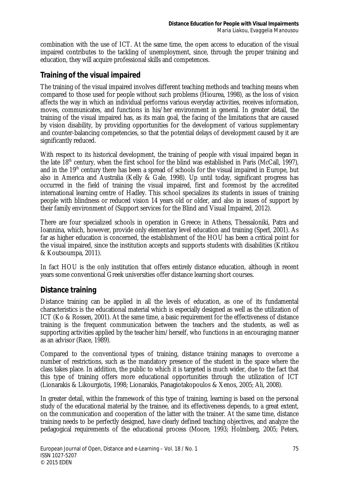combination with the use of ICT. At the same time, the open access to education of the visual impaired contributes to the tackling of unemployment, since, through the proper training and education, they will acquire professional skills and competences.

### **Training of the visual impaired**

The training of the visual impaired involves different teaching methods and teaching means when compared to those used for people without such problems (Hiourea, 1998), as the loss of vision affects the way in which an individual performs various everyday activities, receives information, moves, communicates, and functions in his/her environment in general. In greater detail, the training of the visual impaired has, as its main goal, the facing of the limitations that are caused by vision disability, by providing opportunities for the development of various supplementary and counter-balancing competencies, so that the potential delays of development caused by it are significantly reduced.

With respect to its historical development, the training of people with visual impaired began in the late  $18<sup>th</sup>$  century, when the first school for the blind was established in Paris (McCall, 1997), and in the  $19<sup>th</sup>$  century there has been a spread of schools for the visual impaired in Europe, but also in America and Australia (Kelly & Gale, 1998). Up until today, significant progress has occurred in the field of training the visual impaired, first and foremost by the accredited international learning centre of Hadley. This school specializes its students in issues of training people with blindness or reduced vision 14 years old or older, and also in issues of support by their family environment of (Support services for the Blind and Visual Impaired, 2012).

There are four specialized schools in operation in Greece; in Athens, Thessaloniki, Patra and Ioannina, which, however, provide only elementary level education and training (Sperl, 2001). As far as higher education is concerned, the establishment of the HOU has been a critical point for the visual impaired, since the institution accepts and supports students with disabilities (Kritikou & Koutsoumpa, 2011).

In fact HOU is the only institution that offers entirely distance education, although in recent years some conventional Greek universities offer distance learning short courses.

### **Distance training**

Distance training can be applied in all the levels of education, as one of its fundamental characteristics is the educational material which is especially designed as well as the utilization of ICT (Ko & Rossen, 2001). At the same time, a basic requirement for the effectiveness of distance training is the frequent communication between the teachers and the students, as well as supporting activities applied by the teacher him/herself, who functions in an encouraging manner as an advisor (Race, 1989).

Compared to the conventional types of training, distance training manages to overcome a number of restrictions, such as the mandatory presence of the student in the space where the class takes place. In addition, the public to which it is targeted is much wider, due to the fact that this type of training offers more educational opportunities through the utilization of ICT (Lionarakis & Likourgiotis, 1998; Lionarakis, Panagiotakopoulos & Xenos, 2005; Ali, 2008).

In greater detail, within the framework of this type of training, learning is based on the personal study of the educational material by the trainee, and its effectiveness depends, to a great extent, on the communication and cooperation of the latter with the trainer. At the same time, distance training needs to be perfectly designed, have clearly defined teaching objectives, and analyze the pedagogical requirements of the educational process (Moore, 1993; Holmberg, 2005; Peters,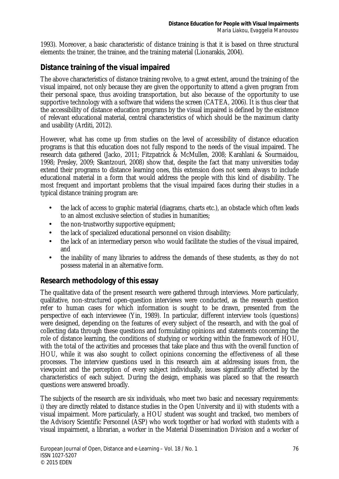1993). Moreover, a basic characteristic of distance training is that it is based on three structural elements: the trainer, the trainee, and the training material (Lionarakis, 2004).

## **Distance training of the visual impaired**

The above characteristics of distance training revolve, to a great extent, around the training of the visual impaired, not only because they are given the opportunity to attend a given program from their personal space, thus avoiding transportation, but also because of the opportunity to use supportive technology with a software that widens the screen (CATEA, 2006). It is thus clear that the accessibility of distance education programs by the visual impaired is defined by the existence of relevant educational material, central characteristics of which should be the maximum clarity and usability (Arditi, 2012).

However, what has come up from studies on the level of accessibility of distance education programs is that this education does not fully respond to the needs of the visual impaired. The research data gathered (Jacko, 2011; Fitzpatrick & McMullen, 2008; Karahlani & Sourmaidou, 1998; Presley, 2009; Skantzouri, 2008) show that, despite the fact that many universities today extend their programs to distance learning ones, this extension does not seem always to include educational material in a form that would address the people with this kind of disability. The most frequent and important problems that the visual impaired faces during their studies in a typical distance training program are:

- the lack of access to graphic material (diagrams, charts etc.), an obstacle which often leads to an almost exclusive selection of studies in humanities;
- the non-trustworthy supportive equipment;
- the lack of specialized educational personnel on vision disability;
- the lack of an intermediary person who would facilitate the studies of the visual impaired, and
- the inability of many libraries to address the demands of these students, as they do not possess material in an alternative form.

### **Research methodology of this essay**

The qualitative data of the present research were gathered through interviews. More particularly, qualitative, non-structured open-question interviews were conducted, as the research question refer to human cases for which information is sought to be drawn, presented from the perspective of each interviewee (Yin, 1989). In particular, different interview tools (questions) were designed, depending on the features of every subject of the research, and with the goal of collecting data through these questions and formulating opinions and statements concerning the role of distance learning, the conditions of studying or working within the framework of HOU, with the total of the activities and processes that take place and thus with the overall function of HOU, while it was also sought to collect opinions concerning the effectiveness of all these processes. The interview questions used in this research aim at addressing issues from, the viewpoint and the perception of every subject individually, issues significantly affected by the characteristics of each subject. During the design, emphasis was placed so that the research questions were answered broadly.

The subjects of the research are six individuals, who meet two basic and necessary requirements: i) they are directly related to distance studies in the Open University and ii) with students with a visual impairment. More particularly, a HOU student was sought and tracked, two members of the Advisory Scientific Personnel (ASP) who work together or had worked with students with a visual impairment, a librarian, a worker in the Material Dissemination Division and a worker of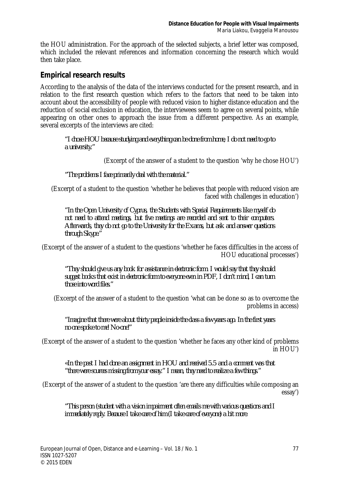the HOU administration. For the approach of the selected subjects, a brief letter was composed, which included the relevant references and information concerning the research which would then take place.

### **Empirical research results**

According to the analysis of the data of the interviews conducted for the present research, and in relation to the first research question which refers to the factors that need to be taken into account about the accessibility of people with reduced vision to higher distance education and the reduction of social exclusion in education, the interviewees seem to agree on several points, while appearing on other ones to approach the issue from a different perspective. As an example, several excerpts of the interviews are cited:

*"I chose HOU because studying and everything can be done from home, I do not need to go to a university."*

(Excerpt of the answer of a student to the question 'why he chose HOU')

*"The problems I face primarily deal with the material."*

(Excerpt of a student to the question 'whether he believes that people with reduced vision are faced with challenges in education')

*"In the Open University of Cyprus, the Students with Special Requirements like myself do not need to attend meetings, but five meetings are recorded and sent to their computers. Afterwards, they do not go to the University for the Exams, but ask and answer questions through Skype."*

(Excerpt of the answer of a student to the questions 'whether he faces difficulties in the access of HOU educational processes')

*"They should give us any book for assistance in electronic form. I would say that they should suggest books that exist in electronic form to everyone even in PDF, I don't mind, I can turn those into word files."*

(Excerpt of the answer of a student to the question 'what can be done so as to overcome the problems in access)

*"Imagine that there were about thirty people inside the class a few years ago. In the first years no one spoke to me! No-one!"*

(Excerpt of the answer of a student to the question 'whether he faces any other kind of problems in HOU')

*«In the past I had done an assignment in HOU and received 5.5 and a comment was that "there were sources missing from your essay." I mean, they need to realize a few things."*

(Excerpt of the answer of a student to the question 'are there any difficulties while composing an essay')

*"This person (student with a vision impairment often emails me with various questions and I immediately reply. Because I take care of him (I take care of everyone) a bit more.*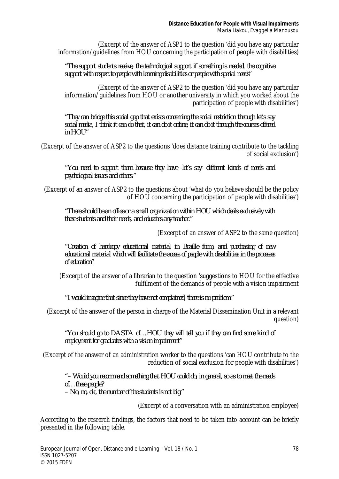(Excerpt of the answer of ASP1 to the question 'did you have any particular information/guidelines from HOU concerning the participation of people with disabilities)

*"The support students receive, the technological support if something is needed, the cognitive support with respect to people with learning disabilities or people with special needs"*

(Excerpt of the answer of ASP2 to the question 'did you have any particular information/guidelines from HOU or another university in which you worked about the participation of people with disabilities')

*"They can bridge this social gap that exists concerning the social restriction through let's say social media, I think it can do that, it can do it online, it can do it through the courses offered in HOU"*

(Excerpt of the answer of ASP2 to the questions 'does distance training contribute to the tackling of social exclusion')

*"You need to support them because they have -let's say- different kinds of needs and psychological issues and others."*

(Excerpt of an answer of ASP2 to the questions about 'what do you believe should be the policy of HOU concerning the participation of people with disabilities')

*"There should be an office or a small organization within HOU which deals exclusively with these students and their needs, and educates any teacher."* 

(Excerpt of an answer of ASP2 to the same question)

*"Creation of hardcopy educational material in Braille form, and purchasing of new educational material which will facilitate the access of people with disabilities in the processes of education"*

(Excerpt of the answer of a librarian to the question 'suggestions to HOU for the effective fulfilment of the demands of people with a vision impairment

*"I would imagine that since they have not complained, there is no problem."*

(Excerpt of the answer of the person in charge of the Material Dissemination Unit in a relevant question)

*"You should go to DASTA of…HOU they will tell you if they can find some kind of employment for graduates with a vision impairment"*

(Excerpt of the answer of an administration worker to the questions 'can HOU contribute to the reduction of social exclusion for people with disabilities')

*"– Would you recommend something that HOU could do, in general, so as to meet the needs of…these people? – No, no, ok, the number of the students is not big."*

(Excerpt of a conversation with an administration employee)

According to the research findings, the factors that need to be taken into account can be briefly presented in the following table.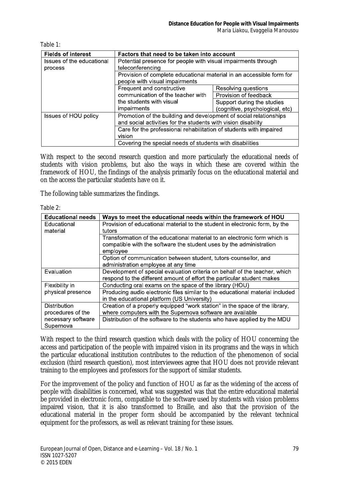Table 1:

| <b>Fields of interest</b>   | Factors that need to be taken into account                                                             |                                 |  |
|-----------------------------|--------------------------------------------------------------------------------------------------------|---------------------------------|--|
| Issues of the educational   | Potential presence for people with visual impairments through                                          |                                 |  |
| process                     | teleconferencing                                                                                       |                                 |  |
|                             | Provision of complete educational material in an accessible form for<br>people with visual impairments |                                 |  |
|                             | Frequent and constructive                                                                              | Resolving questions             |  |
|                             | communication of the teacher with                                                                      | Provision of feedback           |  |
|                             | the students with visual                                                                               | Support during the studies      |  |
|                             | impairments                                                                                            | (cognitive, psychological, etc) |  |
| <b>Issues of HOU policy</b> | Promotion of the building and development of social relationships                                      |                                 |  |
|                             | and social activities for the students with vision disability                                          |                                 |  |
|                             | Care for the professional rehabilitation of students with impaired                                     |                                 |  |
|                             | vision                                                                                                 |                                 |  |
|                             | Covering the special needs of students with disabilities                                               |                                 |  |

With respect to the second research question and more particularly the educational needs of students with vision problems, but also the ways in which these are covered within the framework of HOU, the findings of the analysis primarily focus on the educational material and on the access the particular students have on it.

The following table summarizes the findings.

Table 2:

| <b>Educational needs</b> | Ways to meet the educational needs within the framework of HOU                |  |  |
|--------------------------|-------------------------------------------------------------------------------|--|--|
| Educational              | Provision of educational material to the student in electronic form, by the   |  |  |
| material                 | tutors                                                                        |  |  |
|                          | Transformation of the educational material to an electronic form which is     |  |  |
|                          | compatible with the software the student uses by the administration           |  |  |
|                          | employee                                                                      |  |  |
|                          | Option of communication between student, tutors-counsellor, and               |  |  |
|                          | administration employee at any time                                           |  |  |
| Evaluation               | Development of special evaluation criteria on behalf of the teacher, which    |  |  |
|                          | respond to the different amount of effort the particular student makes        |  |  |
| Flexibility in           | Conducting oral exams on the space of the library (HOU)                       |  |  |
| physical presence        | Producing audio electronic files similar to the educational material included |  |  |
|                          | in the educational platform (US University)                                   |  |  |
| <b>Distribution</b>      | Creation of a properly equipped "work station" in the space of the library,   |  |  |
| procedures of the        | where computers with the Supernova software are available                     |  |  |
| necessary software       | Distribution of the software to the students who have applied by the MDU      |  |  |
| Supernova                |                                                                               |  |  |

With respect to the third research question which deals with the policy of HOU concerning the access and participation of the people with impaired vision in its programs and the ways in which the particular educational institution contributes to the reduction of the phenomenon of social exclusion (third research question), most interviewees agree that HOU does not provide relevant training to the employees and professors for the support of similar students.

For the improvement of the policy and function of HOU as far as the widening of the access of people with disabilities is concerned, what was suggested was that the entire educational material be provided in electronic form, compatible to the software used by students with vision problems impaired vision, that it is also transformed to Braille, and also that the provision of the educational material in the proper form should be accompanied by the relevant technical equipment for the professors, as well as relevant training for these issues.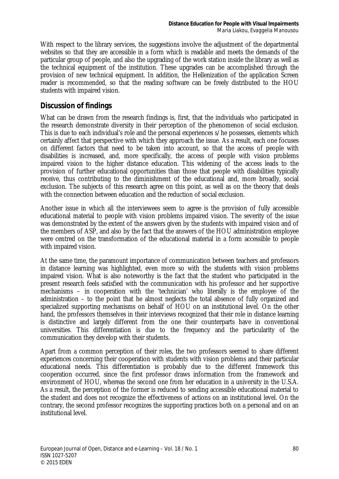With respect to the library services, the suggestions involve the adjustment of the departmental websites so that they are accessible in a form which is readable and meets the demands of the particular group of people, and also the upgrading of the work station inside the library as well as the technical equipment of the institution. These upgrades can be accomplished through the provision of new technical equipment. In addition, the Hellenization of the application Screen reader is recommended, so that the reading software can be freely distributed to the HOU students with impaired vision.

### **Discussion of findings**

What can be drawn from the research findings is, first, that the individuals who participated in the research demonstrate diversity in their perception of the phenomenon of social exclusion. This is due to each individual's role and the personal experiences s/he possesses, elements which certainly affect that perspective with which they approach the issue. As a result, each one focuses on different factors that need to be taken into account, so that the access of people with disabilities is increased, and, more specifically, the access of people with vision problems impaired vision to the higher distance education. This widening of the access leads to the provision of further educational opportunities than those that people with disabilities typically receive, thus contributing to the diminishment of the educational and, more broadly, social exclusion. The subjects of this research agree on this point, as well as on the theory that deals with the connection between education and the reduction of social exclusion.

Another issue in which all the interviewees seem to agree is the provision of fully accessible educational material to people with vision problems impaired vision. The severity of the issue was demonstrated by the extent of the answers given by the students with impaired vision and of the members of ASP, and also by the fact that the answers of the HOU administration employee were centred on the transformation of the educational material in a form accessible to people with impaired vision.

At the same time, the paramount importance of communication between teachers and professors in distance learning was highlighted, even more so with the students with vision problems impaired vision. What is also noteworthy is the fact that the student who participated in the present research feels satisfied with the communication with his professor and her supportive mechanisms – in cooperation with the 'technician' who literally is the employee of the administration – to the point that he almost neglects the total absence of fully organized and specialized supporting mechanisms on behalf of HOU on an institutional level. On the other hand, the professors themselves in their interviews recognized that their role in distance learning is distinctive and largely different from the one their counterparts have in conventional universities. This differentiation is due to the frequency and the particularity of the communication they develop with their students.

Apart from a common perception of their roles, the two professors seemed to share different experiences concerning their cooperation with students with vision problems and their particular educational needs. This differentiation is probably due to the different framework this cooperation occurred, since the first professor draws information from the framework and environment of HOU, whereas the second one from her education in a university in the U.S.A. As a result, the perception of the former is reduced to sending accessible educational material to the student and does not recognize the effectiveness of actions on an institutional level. On the contrary, the second professor recognizes the supporting practices both on a personal and on an institutional level.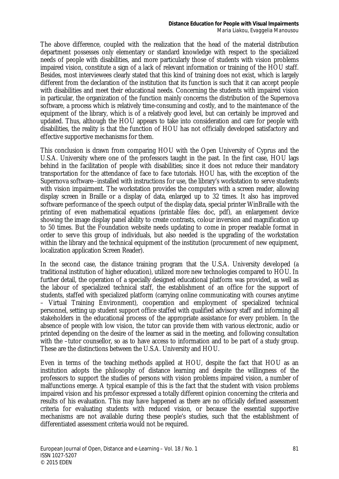The above difference, coupled with the realization that the head of the material distribution department possesses only elementary or standard knowledge with respect to the specialized needs of people with disabilities, and more particularly those of students with vision problems impaired vision, constitute a sign of a lack of relevant information or training of the HOU staff. Besides, most interviewees clearly stated that this kind of training does not exist, which is largely different from the declaration of the institution that its function is such that it can accept people with disabilities and meet their educational needs. Concerning the students with impaired vision in particular, the organization of the function mainly concerns the distribution of the Supernova software, a process which is relatively time-consuming and costly, and to the maintenance of the equipment of the library, which is of a relatively good level, but can certainly be improved and updated. Thus, although the HOU appears to take into consideration and care for people with disabilities, the reality is that the function of HOU has not officially developed satisfactory and effective supportive mechanisms for them.

This conclusion is drawn from comparing HOU with the Open University of Cyprus and the U.S.A. University where one of the professors taught in the past. In the first case, HOU lags behind in the facilitation of people with disabilities; since it does not reduce their mandatory transportation for the attendance of face to face tutorials. HOU has, with the exception of the Supernova software--installed with instructions for use, the library's workstation to serve students with vision impairment. The workstation provides the computers with a screen reader, allowing display screen in Braille or a display of data, enlarged up to 32 times. It also has improved software performance of the speech output of the display data, special printer WinBraille with the printing of even mathematical equations (printable files: doc, pdf), an enlargement device showing the image display panel ability to create contrasts, colour inversion and magnification up to 50 times. But the Foundation website needs updating to come in proper readable format in order to serve this group of individuals, but also needed is the upgrading of the workstation within the library and the technical equipment of the institution (procurement of new equipment, localization application Screen Reader).

In the second case, the distance training program that the U.S.A. University developed (a traditional institution of higher education), utilized more new technologies compared to HOU. In further detail, the operation of a specially designed educational platform was provided, as well as the labour of specialized technical staff, the establishment of an office for the support of students, staffed with specialized platform (carrying online communicating with courses anytime – Virtual Training Environment), cooperation and employment of specialized technical personnel, setting up student support office staffed with qualified advisory staff and informing all stakeholders in the educational process of the appropriate assistance for every problem. In the absence of people with low vision, the tutor can provide them with various electronic, audio or printed depending on the desire of the learner as said in the meeting, and following consultation with the –tutor counsellor, so as to have access to information and to be part of a study group. These are the distinctions between the U.S.A. University and HOU.

Even in terms of the teaching methods applied at HOU, despite the fact that HOU as an institution adopts the philosophy of distance learning and despite the willingness of the professors to support the studies of persons with vision problems impaired vision, a number of malfunctions emerge. A typical example of this is the fact that the student with vision problems impaired vision and his professor expressed a totally different opinion concerning the criteria and results of his evaluation. This may have happened as there are no officially defined assessment criteria for evaluating students with reduced vision, or because the essential supportive mechanisms are not available during these people's studies, such that the establishment of differentiated assessment criteria would not be required.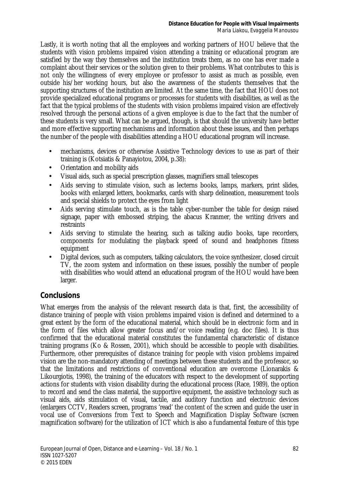Lastly, it is worth noting that all the employees and working partners of HOU believe that the students with vision problems impaired vision attending a training or educational program are satisfied by the way they themselves and the institution treats them, as no one has ever made a complaint about their services or the solution given to their problems. What contributes to this is not only the willingness of every employee or professor to assist as much as possible, even outside his/her working hours, but also the awareness of the students themselves that the supporting structures of the institution are limited. At the same time, the fact that HOU does not provide specialized educational programs or processes for students with disabilities, as well as the fact that the typical problems of the students with vision problems impaired vision are effectively resolved through the personal actions of a given employee is due to the fact that the number of these students is very small. What can be argued, though, is that should the university have better and more effective supporting mechanisms and information about these issues, and then perhaps the number of the people with disabilities attending a HOU educational program will increase.

- mechanisms, devices or otherwise Assistive Technology devices to use as part of their training is (Kotsiatis & Panayiotou, 2004, p.38):
- Orientation and mobility aids
- Visual aids, such as special prescription glasses, magnifiers small telescopes L.
- Aids serving to stimulate vision, such as lecterns books, lamps, markers, print slides, books with enlarged letters, bookmarks, cards with sharp delineation, measurement tools and special shields to protect the eyes from light
- Aids serving stimulate touch, as is the table cyber-number the table for design raised signage, paper with embossed striping, the abacus Kranmer, the writing drivers and restraints
- Aids serving to stimulate the hearing, such as talking audio books, tape recorders, components for modulating the playback speed of sound and headphones fitness equipment
- Digital devices, such as computers, talking calculators, the voice synthesizer, closed circuit TV, the zoom system and information on these issues, possibly the number of people with disabilities who would attend an educational program of the HOU would have been larger.

### **Conclusions**

What emerges from the analysis of the relevant research data is that, first, the accessibility of distance training of people with vision problems impaired vision is defined and determined to a great extent by the form of the educational material, which should be in electronic form and in the form of files which allow greater focus and/or voice reading (e.g. doc files). It is thus confirmed that the educational material constitutes the fundamental characteristic of distance training programs (Ko & Rossen, 2001), which should be accessible to people with disabilities. Furthermore, other prerequisites of distance training for people with vision problems impaired vision are the non-mandatory attending of meetings between these students and the professor, so that the limitations and restrictions of conventional education are overcome (Lionarakis & Likourgiotis, 1998), the training of the educators with respect to the development of supporting actions for students with vision disability during the educational process (Race, 1989), the option to record and send the class material, the supportive equipment, the assistive technology such as visual aids, aids stimulation of visual, tactile, and auditory function and electronic devices (enlargers CCTV, Readers screen, programs 'read' the content of the screen and guide the user in vocal use of Conversions from Text to Speech and Magnification Display Software (screen magnification software) for the utilization of ICT which is also a fundamental feature of this type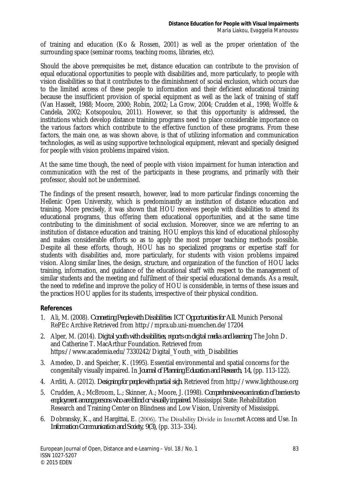of training and education (Ko & Rossen, 2001) as well as the proper orientation of the surrounding space (seminar rooms, teaching rooms, libraries, etc).

Should the above prerequisites be met, distance education can contribute to the provision of equal educational opportunities to people with disabilities and, more particularly, to people with vision disabilities so that it contributes to the diminishment of social exclusion, which occurs due to the limited access of these people to information and their deficient educational training because the insufficient provision of special equipment as well as the lack of training of staff (Van Hasselt, 1988; Moore, 2000; Robin, 2002; La Grow, 2004; Crudden et al., 1998; Wolffe & Candela, 2002; Kotsopoulou, 2011). However, so that this opportunity is addressed, the institutions which develop distance training programs need to place considerable importance on the various factors which contribute to the effective function of these programs. From these factors, the main one, as was shown above, is that of utilizing information and communication technologies, as well as using supportive technological equipment, relevant and specially designed for people with vision problems impaired vision.

At the same time though, the need of people with vision impairment for human interaction and communication with the rest of the participants in these programs, and primarily with their professor, should not be undermined.

The findings of the present research, however, lead to more particular findings concerning the Hellenic Open University, which is predominantly an institution of distance education and training. More precisely, it was shown that HOU receives people with disabilities to attend its educational programs, thus offering them educational opportunities, and at the same time contributing to the diminishment of social exclusion. Moreover, since we are referring to an institution of distance education and training, HOU employs this kind of educational philosophy and makes considerable efforts so as to apply the most proper teaching methods possible. Despite all these efforts, though, HOU has no specialized programs or expertise staff for students with disabilities and, more particularly, for students with vision problems impaired vision. Along similar lines, the design, structure, and organization of the function of HOU lacks training, information, and guidance of the educational staff with respect to the management of similar students and the meeting and fulfilment of their special educational demands. As a result, the need to redefine and improve the policy of HOU is considerable, in terms of these issues and the practices HOU applies for its students, irrespective of their physical condition.

#### **References**

- 1. Ali, M. (2008). *Connecting People with Disabilities: ICT Opportunities for All.* Munich Personal RePEc Archive Retrieved from http://mpra.ub.uni-muenchen.de/17204
- 2. Alper, M. (2014). *Digital youth with disabilities, reports on digital media and learning.* The John D. and Catherine T. MacArthur Foundation. Retrieved from https://www.academia.edu/7330242/Digital\_Youth\_with\_Disabilities
- 3. Amedeo, D. and Speicher, K. (1995). Essential environmental and spatial concerns for the congenitally visually impaired. In *Journal of Planning Education and Research, 14,* (pp. 113-122).
- 4. Arditi, A. (2012). *Designing for people with partial sigh.* Retrieved from http://www.lighthouse.org
- 5. Crudden, A.; McBroom, L.; Skinner, A.; Moore, J. (1998). *Comprehensive examination of barriers to employment among persons who are blind or visually impaired.* Mississippi State: Rehabilitation Research and Training Center on Blindness and Low Vision, University of Mississippi.
- 6. Dobransky, K., and Hargittai, E. (2006). Τhe Disability Divide in Internet Access and Use. In *Information Communication and Society, 9(3),* (pp. 313–334).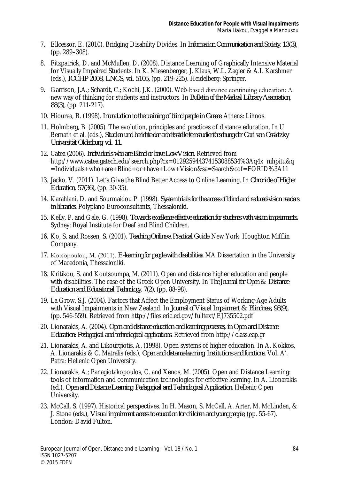- 7. Ellcessor, E. (2010). Bridging Disability Divides. In *Information Communication and Society, 13(3),*  (pp. 289–308).
- 8. Fitzpatrick, D. and McMullen, D. (2008). Distance Learning of Graphically Intensive Material for Visually Impaired Students. In K. Miesenberger, J. Klaus, W.L. Zagler & A.I. Karshmer (eds.), *ICCHP 2008, LNCS, vol. 5105,* (pp. 219-225). Heidelberg: Springer.
- 9. Garrison, J.A.; Schardt, C.; Kochi, J.K. (2000). Web-based distance continuing education: Α new way of thinking for students and instructors. In *Bulletin of the Medical Library Association, 88(3),* (pp. 211-217).
- 10. Hiourea, R. (1998). *Introduction to the training of blind people in Greece.* Athens: Lihnos.
- 11. Holmberg, B. (2005). The evolution, principles and practices of distance education. In U. Bernath et al. (eds.), *Studien und berichte der arbeitsstelle fernstudienforschung der Carl von Ossietzky Universität Oldenburg, vol. 11.*
- 12. Catea (2006). *Individuals who are Blind or have Low Vision.* Retrieved from http://www.catea.gatech.edu/search.php?cx=012925944374153088534%3Aq4x\_nihpitu&q =Individuals+who+are+Blind+or+have+Low+Vision&sa=Search&cof=FORID%3A11
- 13. Jacko, V. (2011). Let's Give the Blind Better Access to Online Learning. In *Chronicle of Higher Education, 57(36),* (pp. 30-35).
- 14. Karahlani, D. and Sourmaidou P. (1998). *System trials for the access of blind and reduced-vision readers in libraries.* Polyplano Euroconsultants, Thessaloniki.
- 15. Kelly, P. and Gale, G. (1998). *Towards excellence-effective education for students with vision impairments.* Sydney: Royal Institute for Deaf and Blind Children.
- 16. Ko, S. and Rossen, S. (2001). *Teaching Online a Practical Guide.* New York: Houghton Mifflin Company.
- 17. Kotsopoulou, Μ. (2011). *E-learning for people with disabilities.* MA Dissertation in the University of Macedonia, Thessaloniki.
- 18. Kritikou, S. and Koutsoumpa, M. (2011). Open and distance higher education and people with disabilities. The case of the Greek Open University. In *The Journal for Open & Distance Education and Educational Technology, 7(2),* (pp. 88-98).
- 19. La Grow, S.J. (2004). Factors that Affect the Employment Status of Working-Age Adults with Visual Impairments in New Zealand. In *Journal of Visual Impairment & Blindness, 98(9),* (pp. 546-559). Retrieved from http://files.eric.ed.gov/fulltext/EJ735502.pdf
- 20. Lionarakis, A. (2004). *Open and distance education and learning processes, in Open and Distance Education: Pedagogical and technological applications.* Retrieved from http://class.eap.gr
- 21. Lionarakis, A. and Likourgiotis, A. (1998). Open systems of higher education. In A. Kokkos, A. Lionarakis & C. Matralis (eds.), *Open and distance learning. Institutions and functions.* Vol. A'. Patra: Hellenic Open University.
- 22. Lionarakis, A.; Panagiotakopoulos, C. and Xenos, M. (2005). Open and Distance Learning: tools of information and communication technologies for effective learning. In A. Lionarakis (ed.), *Open and Distance Learning, Pedagogical and Technological Application.* Hellenic Open University.
- 23. McCall, S. (1997). Historical perspectives. In H. Mason, S. McCall, A. Arter, M. McLinden, & J. Stone (eds.), *Visual impairment access to education for children and young people,* (pp. 55-67). London: David Fulton.